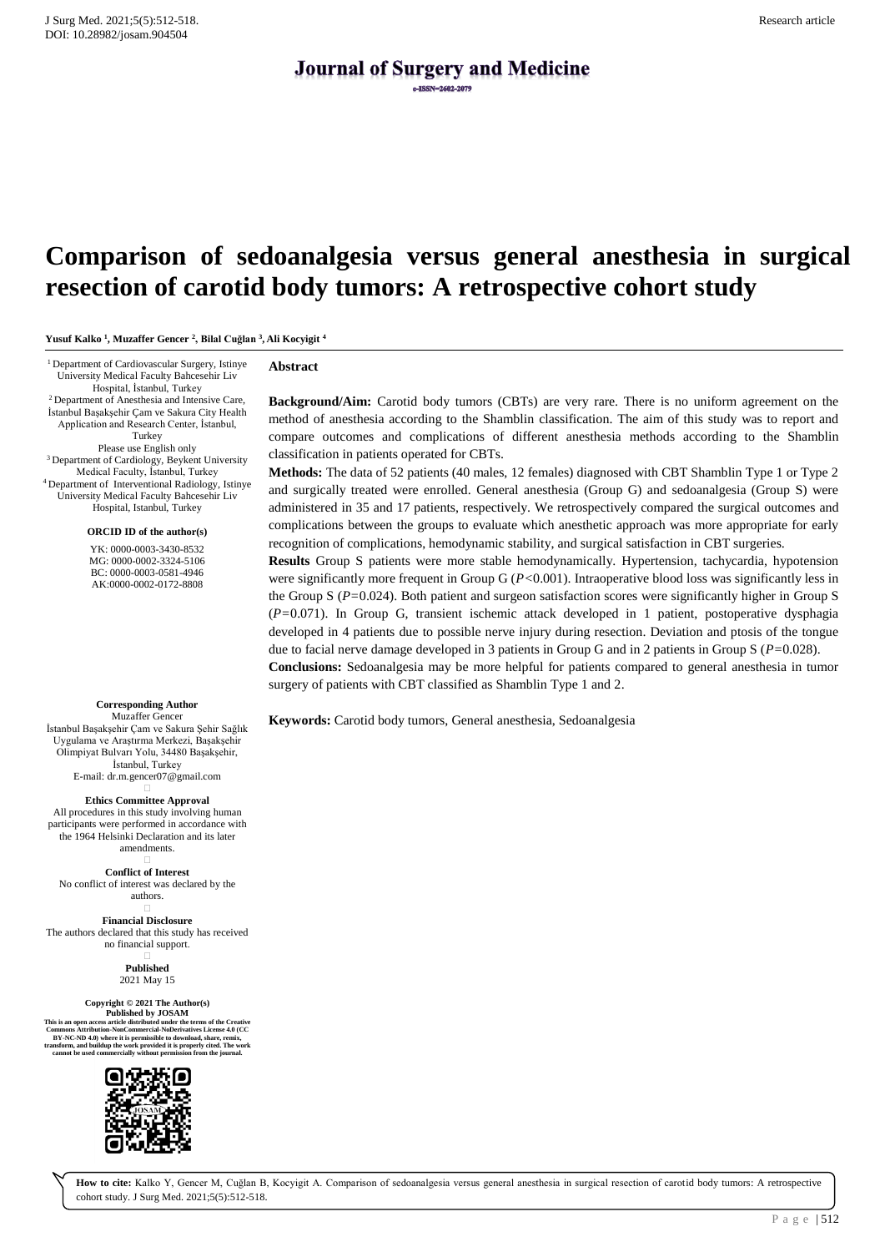# **Journal of Surgery and Medicine**

# **Comparison of sedoanalgesia versus general anesthesia in surgical resection of carotid body tumors: A retrospective cohort study**

**Yusuf Kalko <sup>1</sup> , Muzaffer Gencer <sup>2</sup> , Bilal Cuğlan <sup>3</sup> , Ali Kocyigit <sup>4</sup>**

<sup>1</sup>Department of Cardiovascular Surgery, Istinye University Medical Faculty Bahcesehir Liv Hospital, İstanbul, Turkey <sup>2</sup> Department of Anesthesia and Intensive Care,

İstanbul Başakşehir Çam ve Sakura City Health Application and Research Center, İstanbul, Turkey Please use English only <sup>3</sup> Department of Cardiology, Beykent University Medical Faculty, İstanbul, Turkey <sup>4</sup>Department of Interventional Radiology, Istinye University Medical Faculty Bahcesehir Liv

Hospital, Istanbul, Turkey **ORCID ID of the author(s)**

YK: 0000-0003-3430-8532 MG: 0000-0002-3324-5106 BC: 0000-0003-0581-4946 AK:0000-0002-0172-8808

**Corresponding Author** Muzaffer Gencer İstanbul Başakşehir Çam ve Sakura Şehir Sağlık Uygulama ve Araştırma Merkezi, Başakşehir Olimpiyat Bulvarı Yolu, 34480 Başakşehir, İstanbul, Turkey E-mail: dr.m.gencer07@gmail.com  $\Box$ 

**Ethics Committee Approval** All procedures in this study involving human participants were performed in accordance with the 1964 Helsinki Declaration and its later amendments.

 $\Box$ **Conflict of Interest** No conflict of interest was declared by the authors.

 $\Box$ **Financial Disclosure** The authors declared that this study has received no financial support.

> $\Box$ **Published** 2021 May 15

**Copyright © 2021 The Author(s)**  $\textbf{Published by JOSAM} \label{eq:1} \textbf{Published by JOSAM} \vspace{-0.05in} \textbf{This is an open access article distributed under the terms of the Creative Commons Attribution-NonCommercial-NoDerivatives License 4.0 (CC BY-NC-ND 4.0) where it is permissible to download, share, renix, transform, and build up the work provided it is properly cited. The work has cannot be used commercially without permission from the journal.}$ 



#### **Abstract**

**Background/Aim:** Carotid body tumors (CBTs) are very rare. There is no uniform agreement on the method of anesthesia according to the Shamblin classification. The aim of this study was to report and compare outcomes and complications of different anesthesia methods according to the Shamblin classification in patients operated for CBTs.

**Methods:** The data of 52 patients (40 males, 12 females) diagnosed with CBT Shamblin Type 1 or Type 2 and surgically treated were enrolled. General anesthesia (Group G) and sedoanalgesia (Group S) were administered in 35 and 17 patients, respectively. We retrospectively compared the surgical outcomes and complications between the groups to evaluate which anesthetic approach was more appropriate for early recognition of complications, hemodynamic stability, and surgical satisfaction in CBT surgeries.

**Results** Group S patients were more stable hemodynamically. Hypertension, tachycardia, hypotension were significantly more frequent in Group G (*P<*0.001). Intraoperative blood loss was significantly less in the Group S (*P=*0.024). Both patient and surgeon satisfaction scores were significantly higher in Group S (*P=*0.071). In Group G, transient ischemic attack developed in 1 patient, postoperative dysphagia developed in 4 patients due to possible nerve injury during resection. Deviation and ptosis of the tongue due to facial nerve damage developed in 3 patients in Group G and in 2 patients in Group S (*P=*0.028). **Conclusions:** Sedoanalgesia may be more helpful for patients compared to general anesthesia in tumor surgery of patients with CBT classified as Shamblin Type 1 and 2.

**Keywords:** Carotid body tumors, General anesthesia, Sedoanalgesia

**How to cite:** Kalko Y, Gencer M, Cuğlan B, Kocyigit A. Comparison of sedoanalgesia versus general anesthesia in surgical resection of carotid body tumors: A retrospective cohort study. J Surg Med. 2021;5(5):512-518.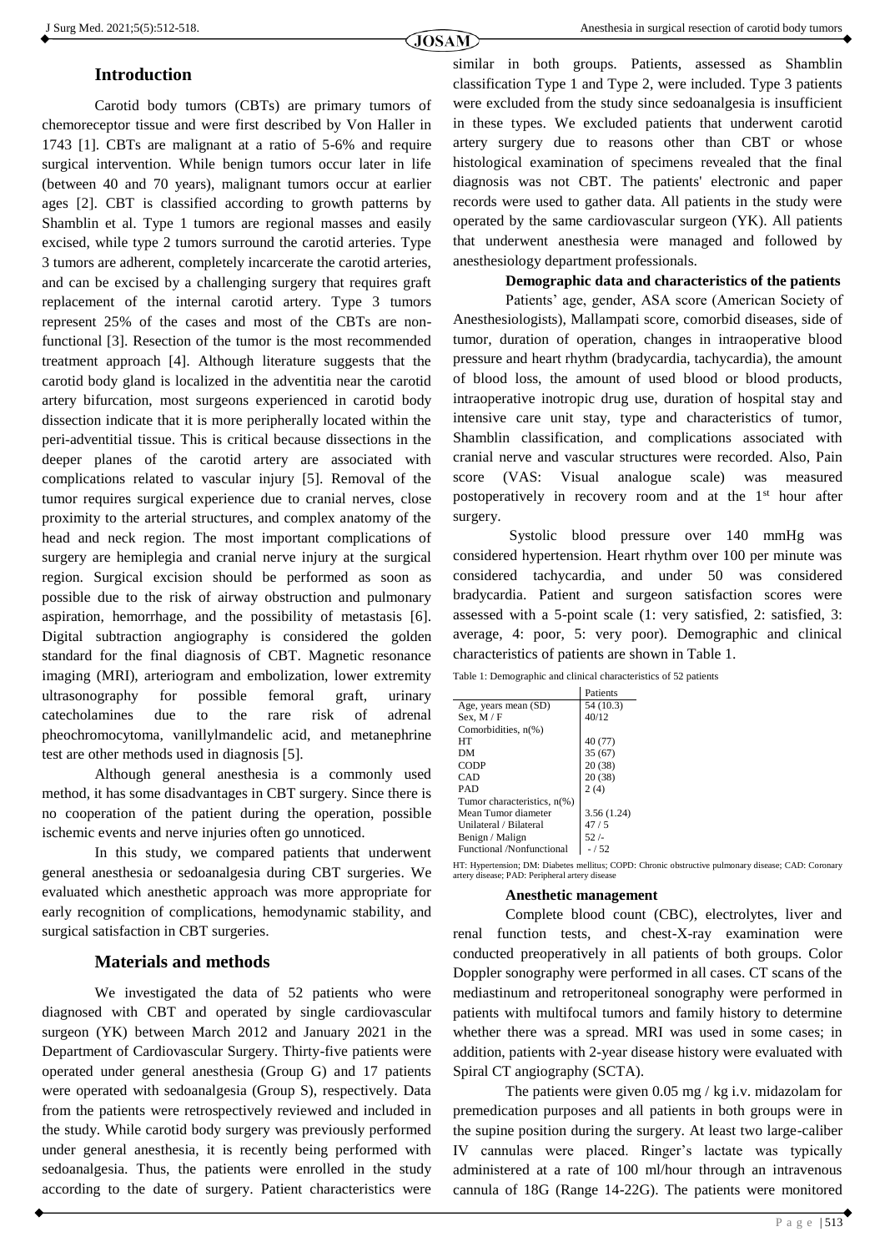### **Introduction**

Carotid body tumors (CBTs) are primary tumors of chemoreceptor tissue and were first described by Von Haller in 1743 [1]. CBTs are malignant at a ratio of 5-6% and require surgical intervention. While benign tumors occur later in life (between 40 and 70 years), malignant tumors occur at earlier ages [2]. CBT is classified according to growth patterns by Shamblin et al. Type 1 tumors are regional masses and easily excised, while type 2 tumors surround the carotid arteries. Type 3 tumors are adherent, completely incarcerate the carotid arteries, and can be excised by a challenging surgery that requires graft replacement of the internal carotid artery. Type 3 tumors represent 25% of the cases and most of the CBTs are nonfunctional [3]. Resection of the tumor is the most recommended treatment approach [4]. Although literature suggests that the carotid body gland is localized in the adventitia near the carotid artery bifurcation, most surgeons experienced in carotid body dissection indicate that it is more peripherally located within the peri-adventitial tissue. This is critical because dissections in the deeper planes of the carotid artery are associated with complications related to vascular injury [5]. Removal of the tumor requires surgical experience due to cranial nerves, close proximity to the arterial structures, and complex anatomy of the head and neck region. The most important complications of surgery are hemiplegia and cranial nerve injury at the surgical region. Surgical excision should be performed as soon as possible due to the risk of airway obstruction and pulmonary aspiration, hemorrhage, and the possibility of metastasis [6]. Digital subtraction angiography is considered the golden standard for the final diagnosis of CBT. Magnetic resonance imaging (MRI), arteriogram and embolization, lower extremity ultrasonography for possible femoral graft, urinary catecholamines due to the rare risk of adrenal pheochromocytoma, vanillylmandelic acid, and metanephrine test are other methods used in diagnosis [5].

Although general anesthesia is a commonly used method, it has some disadvantages in CBT surgery. Since there is no cooperation of the patient during the operation, possible ischemic events and nerve injuries often go unnoticed.

In this study, we compared patients that underwent general anesthesia or sedoanalgesia during CBT surgeries. We evaluated which anesthetic approach was more appropriate for early recognition of complications, hemodynamic stability, and surgical satisfaction in CBT surgeries.

#### **Materials and methods**

We investigated the data of 52 patients who were diagnosed with CBT and operated by single cardiovascular surgeon (YK) between March 2012 and January 2021 in the Department of Cardiovascular Surgery. Thirty-five patients were operated under general anesthesia (Group G) and 17 patients were operated with sedoanalgesia (Group S), respectively. Data from the patients were retrospectively reviewed and included in the study. While carotid body surgery was previously performed under general anesthesia, it is recently being performed with sedoanalgesia. Thus, the patients were enrolled in the study according to the date of surgery. Patient characteristics were

similar in both groups. Patients, assessed as Shamblin classification Type 1 and Type 2, were included. Type 3 patients were excluded from the study since sedoanalgesia is insufficient in these types. We excluded patients that underwent carotid artery surgery due to reasons other than CBT or whose histological examination of specimens revealed that the final diagnosis was not CBT. The patients' electronic and paper records were used to gather data. All patients in the study were operated by the same cardiovascular surgeon (YK). All patients that underwent anesthesia were managed and followed by anesthesiology department professionals.

#### **Demographic data and characteristics of the patients**

Patients' age, gender, ASA score (American Society of Anesthesiologists), Mallampati score, comorbid diseases, side of tumor, duration of operation, changes in intraoperative blood pressure and heart rhythm (bradycardia, tachycardia), the amount of blood loss, the amount of used blood or blood products, intraoperative inotropic drug use, duration of hospital stay and intensive care unit stay, type and characteristics of tumor, Shamblin classification, and complications associated with cranial nerve and vascular structures were recorded. Also, Pain score (VAS: Visual analogue scale) was measured postoperatively in recovery room and at the 1st hour after surgery.

Systolic blood pressure over 140 mmHg was considered hypertension. Heart rhythm over 100 per minute was considered tachycardia, and under 50 was considered bradycardia. Patient and surgeon satisfaction scores were assessed with a 5-point scale (1: very satisfied, 2: satisfied, 3: average, 4: poor, 5: very poor). Demographic and clinical characteristics of patients are shown in Table 1.

| Table 1: Demographic and clinical characteristics of 52 patients |  |
|------------------------------------------------------------------|--|
|------------------------------------------------------------------|--|

|                             | Patients   |
|-----------------------------|------------|
| Age, years mean (SD)        | 54 (10.3)  |
| Sex, $M / F$                | 40/12      |
| Comorbidities, n(%)         |            |
| HT                          | 40 (77)    |
| DМ                          | 35(67)     |
| <b>CODP</b>                 | 20(38)     |
| CAD                         | 20(38)     |
| PAD                         | 2(4)       |
| Tumor characteristics, n(%) |            |
| Mean Tumor diameter         | 3.56(1.24) |
| Unilateral / Bilateral      | 47/5       |
| Benign / Malign             | 52/        |
| Functional /Nonfunctional   | $-1.52$    |

HT: Hypertension; DM: Diabetes mellitus; COPD: Chronic obstructive pulmonary disease; CAD: Coronary artery disease; PAD: Peripheral artery disease

#### **Anesthetic management**

Complete blood count (CBC), electrolytes, liver and renal function tests, and chest-X-ray examination were conducted preoperatively in all patients of both groups. Color Doppler sonography were performed in all cases. CT scans of the mediastinum and retroperitoneal sonography were performed in patients with multifocal tumors and family history to determine whether there was a spread. MRI was used in some cases; in addition, patients with 2-year disease history were evaluated with Spiral CT angiography (SCTA).

The patients were given 0.05 mg / kg i.v. midazolam for premedication purposes and all patients in both groups were in the supine position during the surgery. At least two large-caliber IV cannulas were placed. Ringer's lactate was typically administered at a rate of 100 ml/hour through an intravenous cannula of 18G (Range 14-22G). The patients were monitored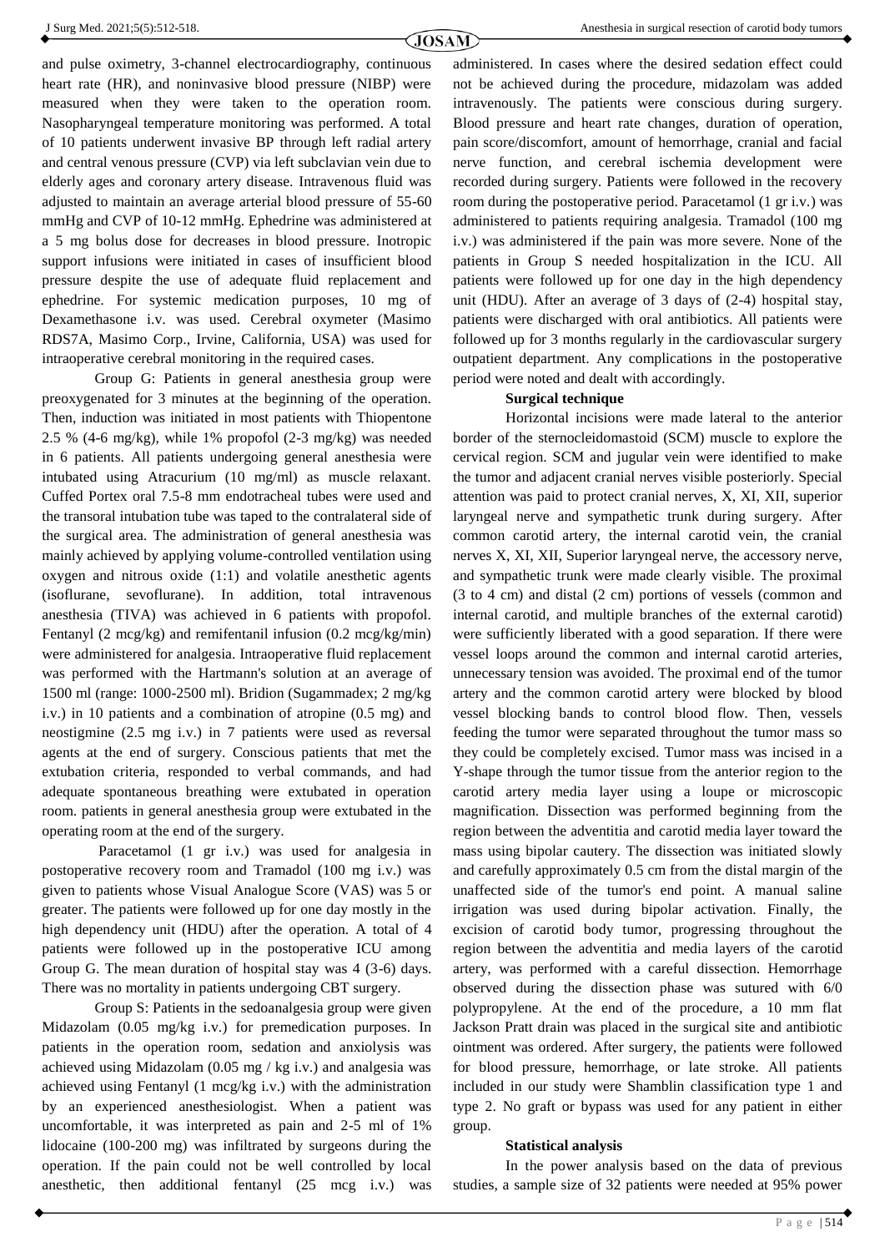and pulse oximetry, 3-channel electrocardiography, continuous heart rate (HR), and noninvasive blood pressure (NIBP) were measured when they were taken to the operation room. Nasopharyngeal temperature monitoring was performed. A total of 10 patients underwent invasive BP through left radial artery and central venous pressure (CVP) via left subclavian vein due to elderly ages and coronary artery disease. Intravenous fluid was adjusted to maintain an average arterial blood pressure of 55-60 mmHg and CVP of 10-12 mmHg. Ephedrine was administered at a 5 mg bolus dose for decreases in blood pressure. Inotropic support infusions were initiated in cases of insufficient blood pressure despite the use of adequate fluid replacement and ephedrine. For systemic medication purposes, 10 mg of Dexamethasone i.v. was used. Cerebral oxymeter (Masimo RDS7A, Masimo Corp., Irvine, California, USA) was used for intraoperative cerebral monitoring in the required cases.

Group G: Patients in general anesthesia group were preoxygenated for 3 minutes at the beginning of the operation. Then, induction was initiated in most patients with Thiopentone 2.5 % (4-6 mg/kg), while 1% propofol (2-3 mg/kg) was needed in 6 patients. All patients undergoing general anesthesia were intubated using Atracurium (10 mg/ml) as muscle relaxant. Cuffed Portex oral 7.5-8 mm endotracheal tubes were used and the transoral intubation tube was taped to the contralateral side of the surgical area. The administration of general anesthesia was mainly achieved by applying volume-controlled ventilation using oxygen and nitrous oxide (1:1) and volatile anesthetic agents (isoflurane, sevoflurane). In addition, total intravenous anesthesia (TIVA) was achieved in 6 patients with propofol. Fentanyl (2 mcg/kg) and remifentanil infusion (0.2 mcg/kg/min) were administered for analgesia. Intraoperative fluid replacement was performed with the Hartmann's solution at an average of 1500 ml (range: 1000-2500 ml). Bridion (Sugammadex; 2 mg/kg i.v.) in 10 patients and a combination of atropine (0.5 mg) and neostigmine (2.5 mg i.v.) in 7 patients were used as reversal agents at the end of surgery. Conscious patients that met the extubation criteria, responded to verbal commands, and had adequate spontaneous breathing were extubated in operation room. patients in general anesthesia group were extubated in the operating room at the end of the surgery.

Paracetamol (1 gr i.v.) was used for analgesia in postoperative recovery room and Tramadol (100 mg i.v.) was given to patients whose Visual Analogue Score (VAS) was 5 or greater. The patients were followed up for one day mostly in the high dependency unit (HDU) after the operation. A total of 4 patients were followed up in the postoperative ICU among Group G. The mean duration of hospital stay was 4 (3-6) days. There was no mortality in patients undergoing CBT surgery.

Group S: Patients in the sedoanalgesia group were given Midazolam (0.05 mg/kg i.v.) for premedication purposes. In patients in the operation room, sedation and anxiolysis was achieved using Midazolam (0.05 mg / kg i.v.) and analgesia was achieved using Fentanyl (1 mcg/kg i.v.) with the administration by an experienced anesthesiologist. When a patient was uncomfortable, it was interpreted as pain and 2-5 ml of 1% lidocaine (100-200 mg) was infiltrated by surgeons during the operation. If the pain could not be well controlled by local anesthetic, then additional fentanyl (25 mcg i.v.) was

administered. In cases where the desired sedation effect could not be achieved during the procedure, midazolam was added intravenously. The patients were conscious during surgery. Blood pressure and heart rate changes, duration of operation, pain score/discomfort, amount of hemorrhage, cranial and facial nerve function, and cerebral ischemia development were recorded during surgery. Patients were followed in the recovery room during the postoperative period. Paracetamol (1 gr i.v.) was administered to patients requiring analgesia. Tramadol (100 mg i.v.) was administered if the pain was more severe. None of the patients in Group S needed hospitalization in the ICU. All patients were followed up for one day in the high dependency unit (HDU). After an average of 3 days of (2-4) hospital stay, patients were discharged with oral antibiotics. All patients were followed up for 3 months regularly in the cardiovascular surgery outpatient department. Any complications in the postoperative period were noted and dealt with accordingly.

#### **Surgical technique**

Horizontal incisions were made lateral to the anterior border of the sternocleidomastoid (SCM) muscle to explore the cervical region. SCM and jugular vein were identified to make the tumor and adjacent cranial nerves visible posteriorly. Special attention was paid to protect cranial nerves, X, XI, XII, superior laryngeal nerve and sympathetic trunk during surgery. After common carotid artery, the internal carotid vein, the cranial nerves X, XI, XII, Superior laryngeal nerve, the accessory nerve, and sympathetic trunk were made clearly visible. The proximal (3 to 4 cm) and distal (2 cm) portions of vessels (common and internal carotid, and multiple branches of the external carotid) were sufficiently liberated with a good separation. If there were vessel loops around the common and internal carotid arteries, unnecessary tension was avoided. The proximal end of the tumor artery and the common carotid artery were blocked by blood vessel blocking bands to control blood flow. Then, vessels feeding the tumor were separated throughout the tumor mass so they could be completely excised. Tumor mass was incised in a Y-shape through the tumor tissue from the anterior region to the carotid artery media layer using a loupe or microscopic magnification. Dissection was performed beginning from the region between the adventitia and carotid media layer toward the mass using bipolar cautery. The dissection was initiated slowly and carefully approximately 0.5 cm from the distal margin of the unaffected side of the tumor's end point. A manual saline irrigation was used during bipolar activation. Finally, the excision of carotid body tumor, progressing throughout the region between the adventitia and media layers of the carotid artery, was performed with a careful dissection. Hemorrhage observed during the dissection phase was sutured with 6/0 polypropylene. At the end of the procedure, a 10 mm flat Jackson Pratt drain was placed in the surgical site and antibiotic ointment was ordered. After surgery, the patients were followed for blood pressure, hemorrhage, or late stroke. All patients included in our study were Shamblin classification type 1 and type 2. No graft or bypass was used for any patient in either group.

#### **Statistical analysis**

In the power analysis based on the data of previous studies, a sample size of 32 patients were needed at 95% power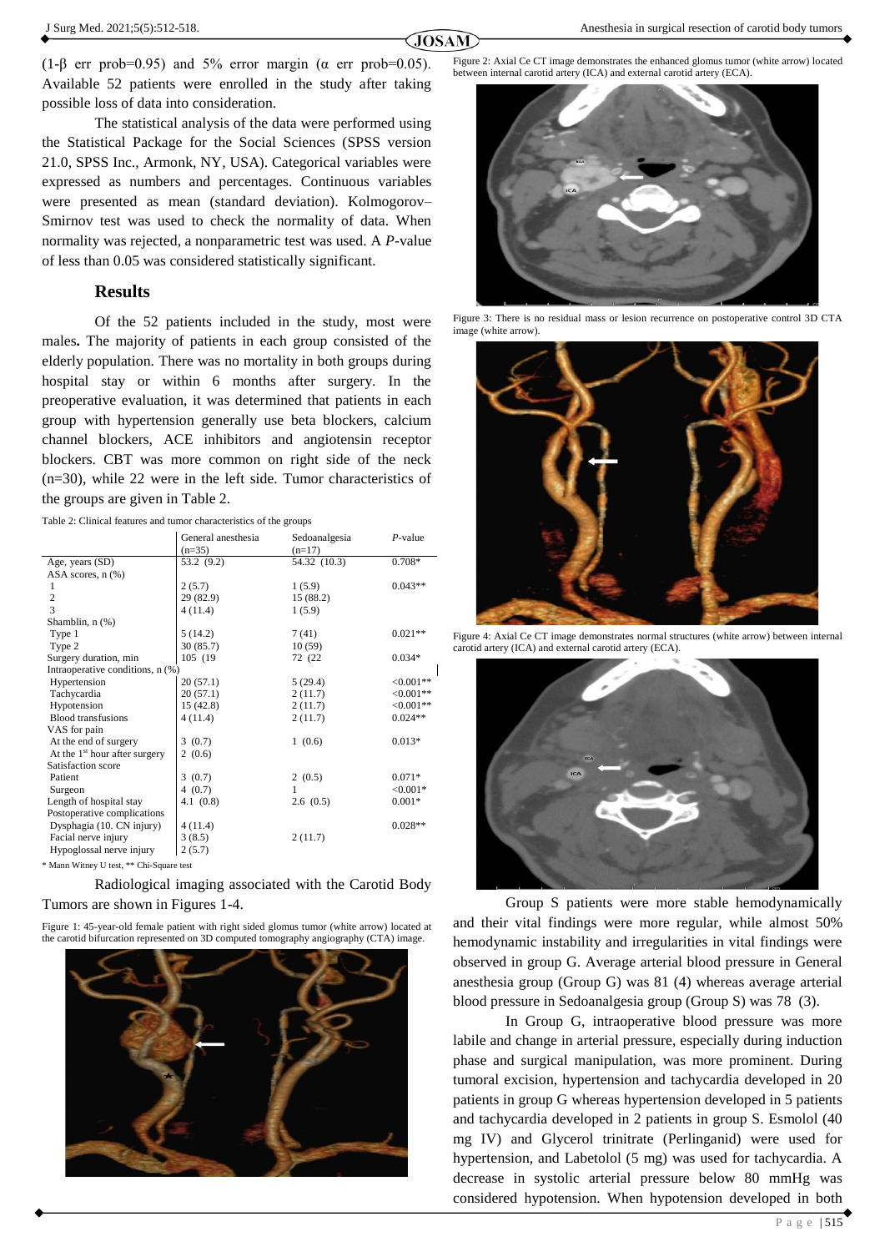(1-β err prob=0.95) and 5% error margin ( $\alpha$  err prob=0.05). Available 52 patients were enrolled in the study after taking possible loss of data into consideration.

The statistical analysis of the data were performed using the Statistical Package for the Social Sciences (SPSS version 21.0, SPSS Inc., Armonk, NY, USA). Categorical variables were expressed as numbers and percentages. Continuous variables were presented as mean (standard deviation). Kolmogorov– Smirnov test was used to check the normality of data. When normality was rejected, a nonparametric test was used. A *P-*value of less than 0.05 was considered statistically significant.

#### **Results**

Of the 52 patients included in the study, most were males**.** The majority of patients in each group consisted of the elderly population. There was no mortality in both groups during hospital stay or within 6 months after surgery. In the preoperative evaluation, it was determined that patients in each group with hypertension generally use beta blockers, calcium channel blockers, ACE inhibitors and angiotensin receptor blockers. CBT was more common on right side of the neck (n=30), while 22 were in the left side. Tumor characteristics of the groups are given in Table 2.

Table 2: Clinical features and tumor characteristics of the groups

|                                  | General anesthesia<br>$(n=35)$ | Sedoanalgesia<br>$(n=17)$ | $P$ -value |
|----------------------------------|--------------------------------|---------------------------|------------|
| Age, years (SD)                  | 53.2 (9.2)                     | 54.32 (10.3)              | $0.708*$   |
| ASA scores, $n$ $(\%)$           |                                |                           |            |
| 1                                | 2(5.7)                         | 1(5.9)                    | $0.043**$  |
| $\overline{c}$                   | 29 (82.9)                      | 15 (88.2)                 |            |
| 3                                | 4(11.4)                        | 1(5.9)                    |            |
| Shamblin, n (%)                  |                                |                           |            |
| Type 1                           | 5(14.2)                        | 7(41)                     | $0.021**$  |
| Type 2                           | 30(85.7)                       | 10(59)                    |            |
| Surgery duration, min            | 105 (19)                       | 72 (22)                   | $0.034*$   |
| Intraoperative conditions, n (%) |                                |                           |            |
| Hypertension                     | 20(57.1)                       | 5(29.4)                   | $<0.001**$ |
| Tachycardia                      | 20(57.1)                       | 2(11.7)                   | $<0.001**$ |
| Hypotension                      | 15(42.8)                       | 2(11.7)                   | $<0.001**$ |
| <b>Blood transfusions</b>        | 4(11.4)                        | 2(11.7)                   | $0.024**$  |
| VAS for pain                     |                                |                           |            |
| At the end of surgery            | 3(0.7)                         | 1(0.6)                    | $0.013*$   |
| At the $1st$ hour after surgery  | 2(0.6)                         |                           |            |
| Satisfaction score               |                                |                           |            |
| Patient                          | 3(0.7)                         | 2(0.5)                    | $0.071*$   |
| Surgeon                          | 4(0.7)                         | 1                         | $< 0.001*$ |
| Length of hospital stay          | 4.1(0.8)                       | 2.6(0.5)                  | $0.001*$   |
| Postoperative complications      |                                |                           |            |
| Dysphagia (10. CN injury)        | 4(11.4)                        |                           | $0.028**$  |
| Facial nerve injury              | 3(8.5)                         | 2(11.7)                   |            |
| Hypoglossal nerve injury         | 2(5.7)                         |                           |            |
|                                  |                                |                           |            |

\* Mann Witney U test, \*\* Chi-Square test

Radiological imaging associated with the Carotid Body Tumors are shown in Figures 1-4.

Figure 1: 45-year-old female patient with right sided glomus tumor (white arrow) located at the carotid bifurcation represented on 3D computed tomography angiography (CTA) image.



Figure 2: Axial Ce CT image demonstrates the enhanced glomus tumor (white arrow) located between internal carotid artery (ICA) and external carotid artery (ECA).



Figure 3: There is no residual mass or lesion recurrence on postoperative control 3D CTA image (white arrow).



Figure 4: Axial Ce CT image demonstrates normal structures (white arrow) between internal carotid artery (ICA) and external carotid artery (ECA).



Group S patients were more stable hemodynamically and their vital findings were more regular, while almost 50% hemodynamic instability and irregularities in vital findings were observed in group G. Average arterial blood pressure in General anesthesia group (Group G) was 81 (4) whereas average arterial blood pressure in Sedoanalgesia group (Group S) was 78 (3).

In Group G, intraoperative blood pressure was more labile and change in arterial pressure, especially during induction phase and surgical manipulation, was more prominent. During tumoral excision, hypertension and tachycardia developed in 20 patients in group G whereas hypertension developed in 5 patients and tachycardia developed in 2 patients in group S. Esmolol (40 mg IV) and Glycerol trinitrate (Perlinganid) were used for hypertension, and Labetolol (5 mg) was used for tachycardia. A decrease in systolic arterial pressure below 80 mmHg was considered hypotension. When hypotension developed in both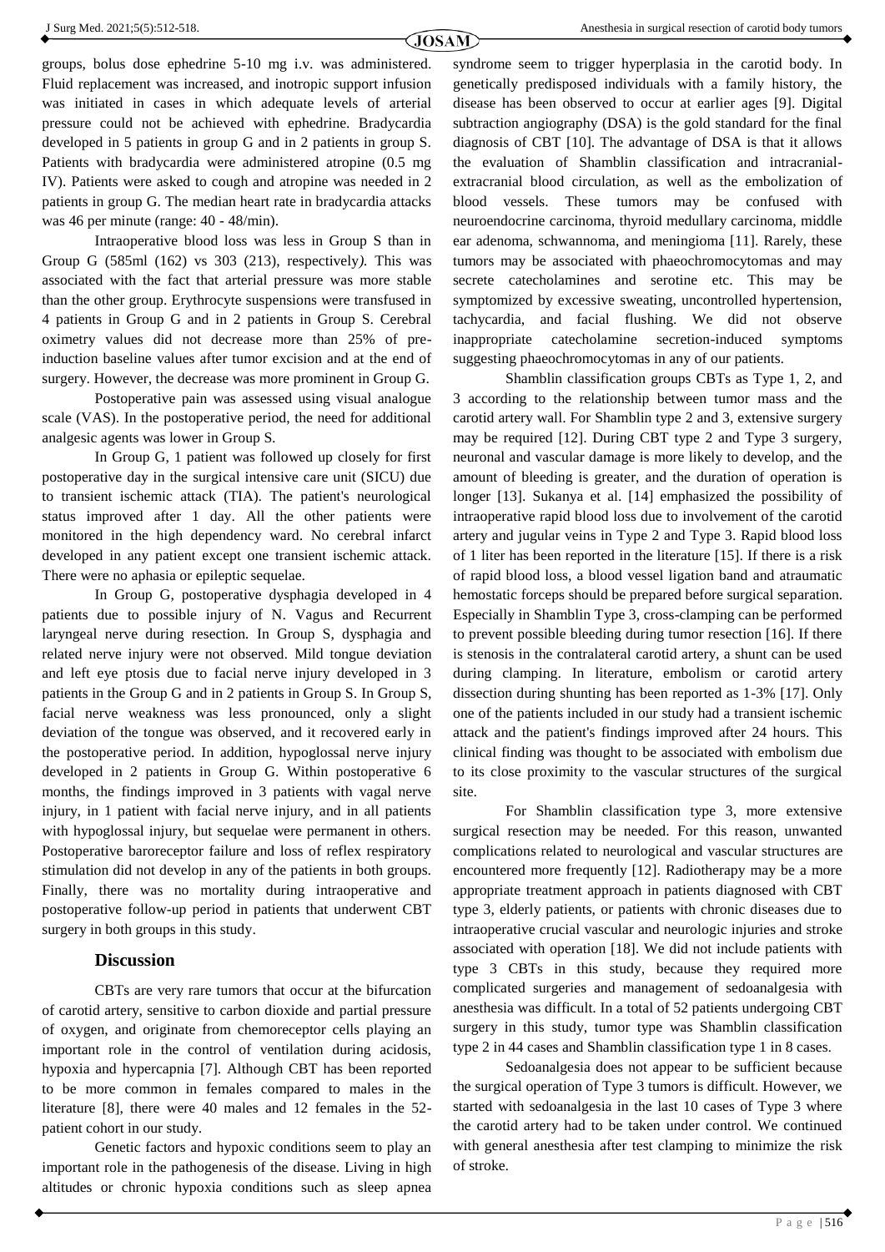groups, bolus dose ephedrine 5-10 mg i.v. was administered. Fluid replacement was increased, and inotropic support infusion was initiated in cases in which adequate levels of arterial pressure could not be achieved with ephedrine. Bradycardia developed in 5 patients in group G and in 2 patients in group S. Patients with bradycardia were administered atropine (0.5 mg IV). Patients were asked to cough and atropine was needed in 2 patients in group G. The median heart rate in bradycardia attacks was 46 per minute (range: 40 - 48/min).

Intraoperative blood loss was less in Group S than in Group G (585ml (162) vs 303 (213), respectively*).* This was associated with the fact that arterial pressure was more stable than the other group. Erythrocyte suspensions were transfused in 4 patients in Group G and in 2 patients in Group S. Cerebral oximetry values did not decrease more than 25% of preinduction baseline values after tumor excision and at the end of surgery. However, the decrease was more prominent in Group G.

Postoperative pain was assessed using visual analogue scale (VAS). In the postoperative period, the need for additional analgesic agents was lower in Group S*.*

In Group G, 1 patient was followed up closely for first postoperative day in the surgical intensive care unit (SICU) due to transient ischemic attack (TIA). The patient's neurological status improved after 1 day. All the other patients were monitored in the high dependency ward. No cerebral infarct developed in any patient except one transient ischemic attack. There were no aphasia or epileptic sequelae.

In Group G, postoperative dysphagia developed in 4 patients due to possible injury of N. Vagus and Recurrent laryngeal nerve during resection*.* In Group S, dysphagia and related nerve injury were not observed*.* Mild tongue deviation and left eye ptosis due to facial nerve injury developed in 3 patients in the Group G and in 2 patients in Group S*.* In Group S, facial nerve weakness was less pronounced, only a slight deviation of the tongue was observed, and it recovered early in the postoperative period. In addition, hypoglossal nerve injury developed in 2 patients in Group G. Within postoperative 6 months, the findings improved in 3 patients with vagal nerve injury, in 1 patient with facial nerve injury, and in all patients with hypoglossal injury, but sequelae were permanent in others. Postoperative baroreceptor failure and loss of reflex respiratory stimulation did not develop in any of the patients in both groups. Finally, there was no mortality during intraoperative and postoperative follow-up period in patients that underwent CBT surgery in both groups in this study.

# **Discussion**

CBTs are very rare tumors that occur at the bifurcation of carotid artery, sensitive to carbon dioxide and partial pressure of oxygen, and originate from chemoreceptor cells playing an important role in the control of ventilation during acidosis, hypoxia and hypercapnia [7]. Although CBT has been reported to be more common in females compared to males in the literature [8], there were 40 males and 12 females in the 52 patient cohort in our study.

Genetic factors and hypoxic conditions seem to play an important role in the pathogenesis of the disease. Living in high altitudes or chronic hypoxia conditions such as sleep apnea syndrome seem to trigger hyperplasia in the carotid body. In genetically predisposed individuals with a family history, the disease has been observed to occur at earlier ages [9]. Digital subtraction angiography (DSA) is the gold standard for the final diagnosis of CBT [10]. The advantage of DSA is that it allows the evaluation of Shamblin classification and intracranialextracranial blood circulation, as well as the embolization of blood vessels. These tumors may be confused with neuroendocrine carcinoma, thyroid medullary carcinoma, middle ear adenoma, schwannoma, and meningioma [11]. Rarely, these tumors may be associated with phaeochromocytomas and may secrete catecholamines and serotine etc. This may be symptomized by excessive sweating, uncontrolled hypertension, tachycardia, and facial flushing. We did not observe inappropriate catecholamine secretion-induced symptoms suggesting phaeochromocytomas in any of our patients.

Shamblin classification groups CBTs as Type 1, 2, and 3 according to the relationship between tumor mass and the carotid artery wall. For Shamblin type 2 and 3, extensive surgery may be required [12]. During CBT type 2 and Type 3 surgery, neuronal and vascular damage is more likely to develop, and the amount of bleeding is greater, and the duration of operation is longer [13]. Sukanya et al. [14] emphasized the possibility of intraoperative rapid blood loss due to involvement of the carotid artery and jugular veins in Type 2 and Type 3. Rapid blood loss of 1 liter has been reported in the literature [15]. If there is a risk of rapid blood loss, a blood vessel ligation band and atraumatic hemostatic forceps should be prepared before surgical separation. Especially in Shamblin Type 3, cross-clamping can be performed to prevent possible bleeding during tumor resection [16]. If there is stenosis in the contralateral carotid artery, a shunt can be used during clamping. In literature, embolism or carotid artery dissection during shunting has been reported as 1-3% [17]. Only one of the patients included in our study had a transient ischemic attack and the patient's findings improved after 24 hours. This clinical finding was thought to be associated with embolism due to its close proximity to the vascular structures of the surgical site.

For Shamblin classification type 3, more extensive surgical resection may be needed. For this reason, unwanted complications related to neurological and vascular structures are encountered more frequently [12]. Radiotherapy may be a more appropriate treatment approach in patients diagnosed with CBT type 3, elderly patients, or patients with chronic diseases due to intraoperative crucial vascular and neurologic injuries and stroke associated with operation [18]. We did not include patients with type 3 CBTs in this study, because they required more complicated surgeries and management of sedoanalgesia with anesthesia was difficult. In a total of 52 patients undergoing CBT surgery in this study, tumor type was Shamblin classification type 2 in 44 cases and Shamblin classification type 1 in 8 cases.

Sedoanalgesia does not appear to be sufficient because the surgical operation of Type 3 tumors is difficult. However, we started with sedoanalgesia in the last 10 cases of Type 3 where the carotid artery had to be taken under control. We continued with general anesthesia after test clamping to minimize the risk of stroke.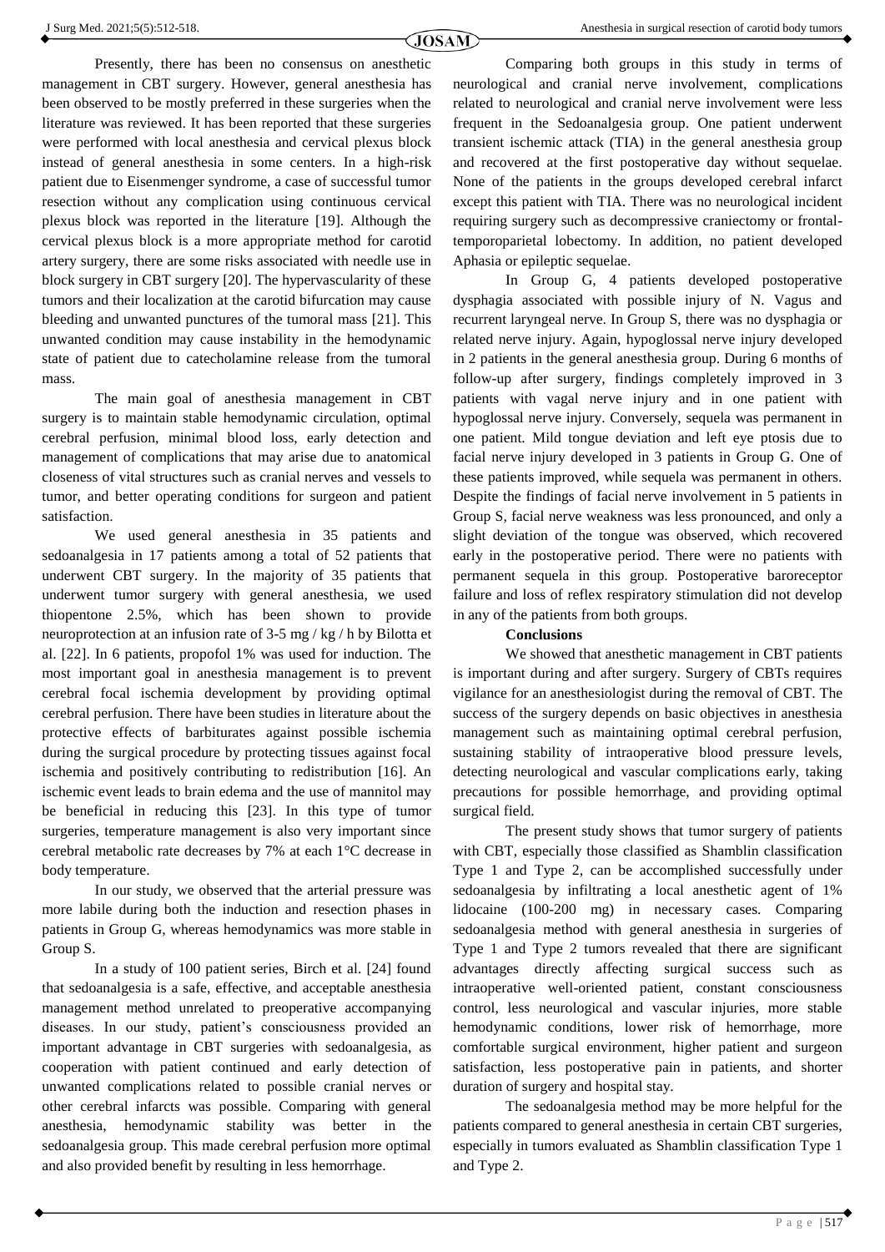Presently, there has been no consensus on anesthetic management in CBT surgery. However, general anesthesia has been observed to be mostly preferred in these surgeries when the literature was reviewed. It has been reported that these surgeries were performed with local anesthesia and cervical plexus block instead of general anesthesia in some centers. In a high-risk patient due to Eisenmenger syndrome, a case of successful tumor resection without any complication using continuous cervical plexus block was reported in the literature [19]. Although the cervical plexus block is a more appropriate method for carotid artery surgery, there are some risks associated with needle use in block surgery in CBT surgery [20]. The hypervascularity of these tumors and their localization at the carotid bifurcation may cause bleeding and unwanted punctures of the tumoral mass [21]. This unwanted condition may cause instability in the hemodynamic state of patient due to catecholamine release from the tumoral mass.

The main goal of anesthesia management in CBT surgery is to maintain stable hemodynamic circulation, optimal cerebral perfusion, minimal blood loss, early detection and management of complications that may arise due to anatomical closeness of vital structures such as cranial nerves and vessels to tumor, and better operating conditions for surgeon and patient satisfaction.

We used general anesthesia in 35 patients and sedoanalgesia in 17 patients among a total of 52 patients that underwent CBT surgery. In the majority of 35 patients that underwent tumor surgery with general anesthesia, we used thiopentone 2.5%, which has been shown to provide neuroprotection at an infusion rate of 3-5 mg / kg / h by Bilotta et al. [22]. In 6 patients, propofol 1% was used for induction. The most important goal in anesthesia management is to prevent cerebral focal ischemia development by providing optimal cerebral perfusion. There have been studies in literature about the protective effects of barbiturates against possible ischemia during the surgical procedure by protecting tissues against focal ischemia and positively contributing to redistribution [16]. An ischemic event leads to brain edema and the use of mannitol may be beneficial in reducing this [23]. In this type of tumor surgeries, temperature management is also very important since cerebral metabolic rate decreases by 7% at each 1°C decrease in body temperature.

In our study, we observed that the arterial pressure was more labile during both the induction and resection phases in patients in Group G, whereas hemodynamics was more stable in Group S.

In a study of 100 patient series, Birch et al. [24] found that sedoanalgesia is a safe, effective, and acceptable anesthesia management method unrelated to preoperative accompanying diseases. In our study, patient's consciousness provided an important advantage in CBT surgeries with sedoanalgesia, as cooperation with patient continued and early detection of unwanted complications related to possible cranial nerves or other cerebral infarcts was possible. Comparing with general anesthesia, hemodynamic stability was better in the sedoanalgesia group. This made cerebral perfusion more optimal and also provided benefit by resulting in less hemorrhage.

Comparing both groups in this study in terms of neurological and cranial nerve involvement, complications related to neurological and cranial nerve involvement were less frequent in the Sedoanalgesia group. One patient underwent transient ischemic attack (TIA) in the general anesthesia group and recovered at the first postoperative day without sequelae. None of the patients in the groups developed cerebral infarct except this patient with TIA. There was no neurological incident requiring surgery such as decompressive craniectomy or frontaltemporoparietal lobectomy. In addition, no patient developed Aphasia or epileptic sequelae.

In Group G, 4 patients developed postoperative dysphagia associated with possible injury of N. Vagus and recurrent laryngeal nerve. In Group S, there was no dysphagia or related nerve injury. Again, hypoglossal nerve injury developed in 2 patients in the general anesthesia group. During 6 months of follow-up after surgery, findings completely improved in 3 patients with vagal nerve injury and in one patient with hypoglossal nerve injury. Conversely, sequela was permanent in one patient. Mild tongue deviation and left eye ptosis due to facial nerve injury developed in 3 patients in Group G. One of these patients improved, while sequela was permanent in others. Despite the findings of facial nerve involvement in 5 patients in Group S, facial nerve weakness was less pronounced, and only a slight deviation of the tongue was observed, which recovered early in the postoperative period. There were no patients with permanent sequela in this group. Postoperative baroreceptor failure and loss of reflex respiratory stimulation did not develop in any of the patients from both groups.

#### **Conclusions**

We showed that anesthetic management in CBT patients is important during and after surgery. Surgery of CBTs requires vigilance for an anesthesiologist during the removal of CBT. The success of the surgery depends on basic objectives in anesthesia management such as maintaining optimal cerebral perfusion, sustaining stability of intraoperative blood pressure levels, detecting neurological and vascular complications early, taking precautions for possible hemorrhage, and providing optimal surgical field.

The present study shows that tumor surgery of patients with CBT, especially those classified as Shamblin classification Type 1 and Type 2, can be accomplished successfully under sedoanalgesia by infiltrating a local anesthetic agent of 1% lidocaine (100-200 mg) in necessary cases. Comparing sedoanalgesia method with general anesthesia in surgeries of Type 1 and Type 2 tumors revealed that there are significant advantages directly affecting surgical success such as intraoperative well-oriented patient, constant consciousness control, less neurological and vascular injuries, more stable hemodynamic conditions, lower risk of hemorrhage, more comfortable surgical environment, higher patient and surgeon satisfaction, less postoperative pain in patients, and shorter duration of surgery and hospital stay.

The sedoanalgesia method may be more helpful for the patients compared to general anesthesia in certain CBT surgeries, especially in tumors evaluated as Shamblin classification Type 1 and Type 2.